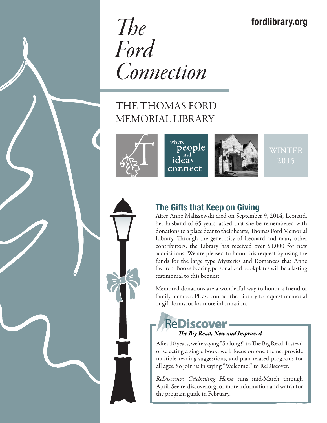## fordlibrary.org

*The Ford Connection*

# THE THOMAS FORD MEMORIAL LIBRARY

where





WINTER



### The Gifts that Keep on Giving

After Anne Maliszewski died on September 9, 2014, Leonard, her husband of 65 years, asked that she be remembered with donations to a place dear to their hearts, Thomas Ford Memorial Library. Through the generosity of Leonard and many other contributors, the Library has received over \$1,000 for new acquisitions. We are pleased to honor his request by using the funds for the large type Mysteries and Romances that Anne favored. Books bearing personalized bookplates will be a lasting testimonial to this bequest.

Memorial donations are a wonderful way to honor a friend or family member. Please contact the Library to request memorial or gift forms, or for more information.

### **ReDiscover-** *The Big Read, New and Improved*

After 10 years, we're saying "So long!" to The Big Read. Instead of selecting a single book, we'll focus on one theme, provide multiple reading suggestions, and plan related programs for all ages. So join us in saying "Welcome!" to ReDiscover.

*ReDiscover: Celebrating Home* runs mid-March through April. See re-discover.org for more information and watch for the program guide in February.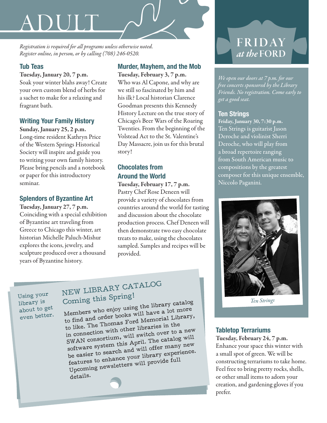# ADUIT

*Registration is required for all programs unless otherwise noted. Register online, in person, or by calling (708) 246-0520.*

#### Tub Teas

Tuesday, January 20, 7 p.m. Soak your winter blahs away! Create your own custom blend of herbs for a sachet to make for a relaxing and fragrant bath.

#### Writing Your Family History

Sunday, January 25, 2 p.m. Long-time resident Kathryn Price of the Western Springs Historical Society will inspire and guide you to writing your own family history. Please bring pencils and a notebook or paper for this introductory seminar.

#### Splendors of Byzantine Art

Tuesday, January 27, 7 p.m. Coinciding with a special exhibition of Byzantine art traveling from Greece to Chicago this winter, art historian Michelle Paluch-Mishur explores the icons, jewelry, and sculpture produced over a thousand years of Byzantine history.

#### Murder, Mayhem, and the Mob Tuesday, February 3, 7 p.m.

Who was Al Capone, and why are we still so fascinated by him and his ilk? Local historian Clarence Goodman presents this Kennedy History Lecture on the true story of Chicago's Beer Wars of the Roaring Twenties. From the beginning of the Volstead Act to the St. Valentine's Day Massacre, join us for this brutal story!

#### Chocolates from Around the World

Tuesday, February 17, 7 p.m. Pastry Chef Rose Deneen will provide a variety of chocolates from countries around the world for tasting and discussion about the chocolate production process. Chef Deneen will then demonstrate two easy chocolate treats to make, using the chocolates sampled. Samples and recipes will be provided.

Using your library is about to get even better.

# NEW LIBRARY CATALOG Coming this Spring!

Members who enjoy using the library catalog to find and order books will have a lot more to like. The Thomas Ford Memorial Library, in connection with other libraries in the SWAN consortium, will switch over to a new software system this April. The catalog will be easier to search and will offer many new features to enhance your library experience. Upcoming newsletters will provide full details.

# **FRIDAY** *at the* FORD

*We open our doors at 7 p.m. for our free concerts sponsored by the Library Friends. No registration. Come early to get a good seat.* 

#### Ten Strings

Friday, January 30, 7:30 p.m. Ten Strings is guitarist Jason Deroche and violinist Sherri Deroche, who will play from a broad repertoire ranging from South American music to compositions by the greatest composer for this unique ensemble, Niccolo Paganini.



*Ten Strings*

#### Tabletop Terrariums

Tuesday, February 24, 7 p.m. Enhance your space this winter with a small spot of green. We will be constructing terrariums to take home. Feel free to bring pretty rocks, shells, or other small items to adorn your creation, and gardening gloves if you prefer.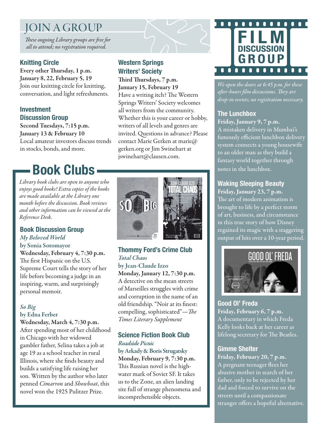# JOIN A GROUP

*These ongoing Library groups are free for all to attend; no registration required.*

#### Knitting Circle

Every other Thursday, 1 p.m. January 8, 22, February 5, 19 Join our knitting circle for knitting, conversation, and light refreshments.

#### Investment Discussion Group

Second Tuesdays, 7:15 p.m. January 13 & February 10 Local amateur investors discuss trends in stocks, bonds, and more.

# Book Clubs

*Library book clubs are open to anyone who enjoys good books! Extra copies of the books are made available at the Library one month before the discussion. Book reviews and other information can be viewed at the Reference Desk.*

#### Book Discussion Group *My Beloved World*

by Sonia Sotomayor Wednesday, February 4, 7:30 p.m. The first Hispanic on the U.S. Supreme Court tells the story of her life before becoming a judge in an inspiring, warm, and surprisingly personal memoir.

#### *So Big* by Edna Ferber

Wednesday, March 4, 7:30 p.m. After spending most of her childhood in Chicago with her widowed gambler father, Selina takes a job at age 19 as a school teacher in rural Illinois, where she finds beauty and builds a satisfying life raising her son. Written by the author who later penned *Cimarron* and *Showboat*, this novel won the 1925 Pulitzer Prize.

#### Western Springs Writers' Society

Third Thursdays, 7 p.m. January 15, February 19 Have a writing itch? The Western Springs Writers' Society welcomes all writers from the community. Whether this is your career or hobby, writers of all levels and genres are invited. Questions in advance? Please contact Marie Gerken at marie@ gerken.org or Jim Swinehart at jswinehart@clausen.com.



#### Thommy Ford's Crime Club *Total Chaos*

by Jean-Claude Izzo Monday, January 12, 7:30 p.m. A detective on the mean streets of Marseilles struggles with crime and corruption in the name of an old friendship. "Noir at its finest: compelling, sophisticated"—*The Times Literary Supplement*

#### Science Fiction Book Club *Roadside Picnic*

by Arkady & Boris Strugatsky Monday, February 9, 7:30 p.m. This Russian novel is the highwater mark of Soviet SF. It takes us to the Zone, an alien landing site full of strange phenomena and incomprehensible objects.



*We open the doors at 6:45 p.m. for these after-hours film discussions. They are drop-in events; no registration necessary.*

#### The Lunchbox

Friday, January 9, 7 p.m. A mistaken delivery in Mumbai's famously efficient lunchbox delivery system connects a young housewife to an older man as they build a fantasy world together through notes in the lunchbox.

#### Waking Sleeping Beauty

Friday, January 23, 7 p.m. The art of modern animation is brought to life by a perfect storm of art, business, and circumstance in this true story of how Disney regained its magic with a staggering output of hits over a 10-year period.



Good Ol' Freda Friday, February 6, 7 p.m. A documentary in which Freda Kelly looks back at her career as lifelong secretary for The Beatles.

#### Gimme Shelter

Friday, February 20, 7 p.m. A pregnant teenager flees her abusive mother in search of her father, only to be rejected by her dad and forced to survive on the streets until a compassionate stranger offers a hopeful alternative.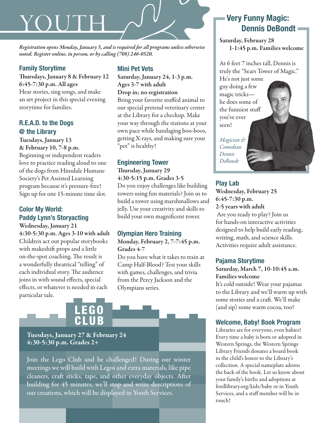# YOU

*Registration opens Monday, January 5, and is required for all programs unless otherwise noted. Register online, in person, or by calling (708) 246-0520.* 

#### Family Storytime

Thursdays, January 8 & February 12 6:45-7:30 p.m. All ages Hear stories, sing songs, and make an art project in this special evening storytime for families.

#### R.E.A.D. to the Dogs @ the Library

Tuesdays, January 13

& February 10, 7-8 p.m. Beginning or independent readers love to practice reading aloud to one of the dogs from Hinsdale Humane Society's Pet Assisted Learning program because it's pressure-free! Sign up for one 15-minute time slot.

#### Color My World: Paddy Lynn's Storyacting

Wednesday, January 21 4:30-5:30 p.m. Ages 3-10 with adult Children act out popular storybooks with makeshift props and a little on-the-spot coaching. The result is a wonderfully theatrical "telling" of each individual story. The audience joins in with sound effects, special effects, or whatever is needed in each particular tale.

#### Mini Pet Vets

Saturday, January 24, 1-3 p.m. Ages 3-7 with adult Drop in; no registration Bring your favorite stuffed animal to our special pretend veterinary center at the Library for a checkup. Make your way through the stations at your own pace while bandaging boo-boos, getting X-rays, and making sure your "pet" is healthy!

#### Engineering Tower

Thursday, January 29 4:30-5:15 p.m. Grades 3-5 Do you enjoy challenges like building towers using fun materials? Join us to build a tower using marshmallows and jelly. Use your creativity and skills to

build your own magnificent tower.

#### Olympian Hero Training

Monday, February 2, 7-7:45 p.m. Grades 4-7

Do you have what it takes to train at Camp Half-Blood? Test your skills with games, challenges, and trivia from the Percy Jackson and the Olympians series.



EGO

CLUB

Join the Lego Club and be challenged! During our winter meetings we will build with Legos and extra materials, like pipe cleaners, craft sticks, tape, and other everyday objects. After building for 45 minutes, we'll stop and write descriptions of our creations, which will be displayed in Youth Services.

#### Very Funny Magic: Dennis DeBondt

Saturday, February 28 1-1:45 p.m. Families welcome

At 6 feet 7 inches tall, Dennis is truly the "Sears Tower of Magic."

He's not just some guy doing a few magic tricks he does some of the funniest stuff you've ever seen!

*Magician & Comedian Dennis DeBondt*

#### Play Lab

Wednesday, February 25 6:45-7:30 p.m. 2-5 years with adult

 Are you ready to play? Join us for hands-on interactive activities designed to help build early reading, writing, math, and science skills. Activities require adult assistance.

#### Pajama Storytime

Saturday, March 7, 10-10:45 a.m. Families welcome

It's cold outside! Wear your pajamas to the Library and we'll warm up with some stories and a craft. We'll make (and sip) some warm cocoa, too!

#### Welcome, Baby! Book Program

Libraries are for everyone, even babies! Every time a baby is born or adopted in Western Springs, the Western Springs Library Friends donates a board book in the child's honor to the Library's collection. A special nameplate adorns the back of the book. Let us know about your family's births and adoptions at fordlibrary.org/kids/baby or in Youth Services, and a staff member will be in touch!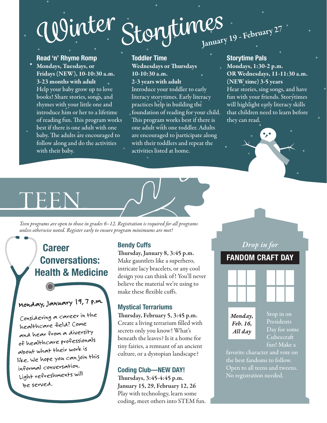# Winter Storytimes

#### Read 'n' Rhyme Romp

Mondays, Tuesdays, or Fridays (NEW), 10-10:30 a.m. 3-23 months with adult Help your baby grow up to love books! Share stories, songs, and rhymes with your little one and introduce him or her to a lifetime of reading fun. This program works best if there is one adult with one baby. The adults are encouraged to follow along and do the activities with their baby.

#### Toddler Time

Wednesdays or Thursdays 10-10:30 a.m. 2-3 years with adult

Introduce your toddler to early literacy storytimes. Early literacy practices help in building the foundation of reading for your child. This program works best if there is one adult with one toddler. Adults are encouraged to participate along with their toddlers and repeat the activities listed at home.

#### Storytime Pals

Mondays, 1:30-2 p.m. OR Wednesdays, 11-11:30 a.m. (NEW time) 3-5 years

Hear stories, sing songs, and have fun with your friends. Storytimes will highlight early literacy skills that children need to learn before they can read.

 $\bullet_{\mathcal{F}}$ 

# TEEN

*Teen programs are open to those in grades 6–12. Registration is required for all programs unless otherwise noted. Register early to ensure program minimums are met!*

## **Career** Conversations: Health & Medicine

# Monday, January 19,7 p.m.

Considering a career in the healthcare field? Come and hear from a diversity of healthcare professionals about what their work is like. We hope you can join this informal conversation. Light refreshments will be served.

#### Bendy Cuffs

Thursday, January 8, 3:45 p.m. Make gauntlets like a superhero, intricate lacy bracelets, or any cool design you can think of ! You'll never believe the material we're using to make these flexible cuffs.

#### Mystical Terrariums

Thursday, February 5, 3:45 p.m. Create a living terrarium filled with secrets only you know! What's beneath the leaves? Is it a home for tiny fairies, a remnant of an ancient culture, or a dystopian landscape?

#### Coding Club—NEW DAY!

Thursdays, 3:45-4:45 p.m. January 15, 29, February 12, 26 Play with technology, learn some coding, meet others into STEM fun.

### *Drop in for* FANDOM CRAFT DAY



*Monday, Feb. 16, All day*

Stop in on Presidents Day for some Cubeecraft fun! Make a

favorite character and vote on the best fandoms to follow. Open to all teens and tweens. No registration needed.